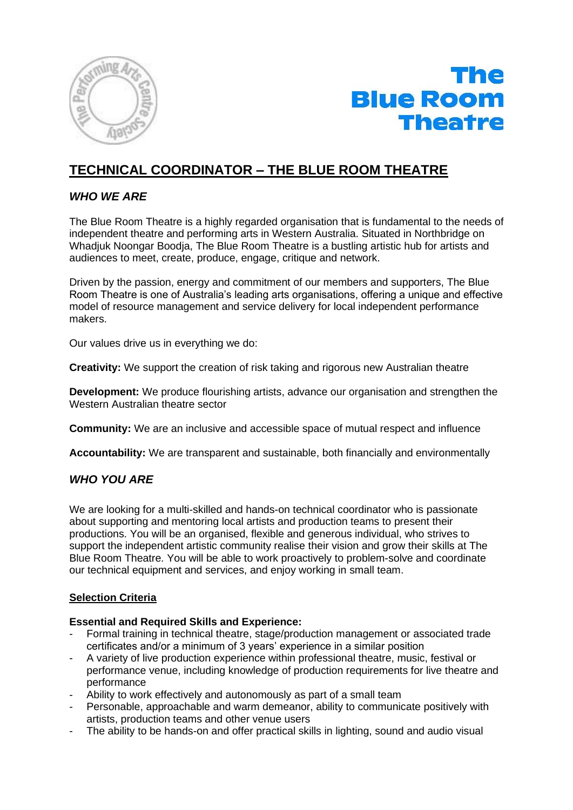



# **TECHNICAL COORDINATOR – THE BLUE ROOM THEATRE**

## *WHO WE ARE*

The Blue Room Theatre is a highly regarded organisation that is fundamental to the needs of independent theatre and performing arts in Western Australia. Situated in Northbridge on Whadjuk Noongar Boodja, The Blue Room Theatre is a bustling artistic hub for artists and audiences to meet, create, produce, engage, critique and network.

Driven by the passion, energy and commitment of our members and supporters, The Blue Room Theatre is one of Australia's leading arts organisations, offering a unique and effective model of resource management and service delivery for local independent performance makers.

Our values drive us in everything we do:

**Creativity:** We support the creation of risk taking and rigorous new Australian theatre

**Development:** We produce flourishing artists, advance our organisation and strengthen the Western Australian theatre sector

**Community:** We are an inclusive and accessible space of mutual respect and influence

**Accountability:** We are transparent and sustainable, both financially and environmentally

## *WHO YOU ARE*

We are looking for a multi-skilled and hands-on technical coordinator who is passionate about supporting and mentoring local artists and production teams to present their productions. You will be an organised, flexible and generous individual, who strives to support the independent artistic community realise their vision and grow their skills at The Blue Room Theatre. You will be able to work proactively to problem-solve and coordinate our technical equipment and services, and enjoy working in small team.

## **Selection Criteria**

### **Essential and Required Skills and Experience:**

- Formal training in technical theatre, stage/production management or associated trade certificates and/or a minimum of 3 years' experience in a similar position
- A variety of live production experience within professional theatre, music, festival or performance venue, including knowledge of production requirements for live theatre and performance
- Ability to work effectively and autonomously as part of a small team
- Personable, approachable and warm demeanor, ability to communicate positively with artists, production teams and other venue users
- The ability to be hands-on and offer practical skills in lighting, sound and audio visual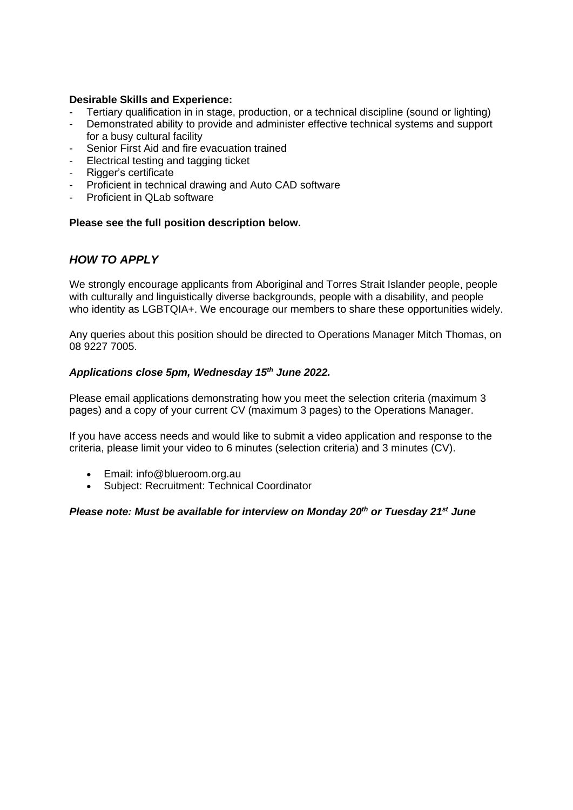### **Desirable Skills and Experience:**

- Tertiary qualification in in stage, production, or a technical discipline (sound or lighting)
- Demonstrated ability to provide and administer effective technical systems and support for a busy cultural facility
- Senior First Aid and fire evacuation trained
- Electrical testing and tagging ticket
- Rigger's certificate
- Proficient in technical drawing and Auto CAD software
- Proficient in QLab software

### **Please see the full position description below.**

## *HOW TO APPLY*

We strongly encourage applicants from Aboriginal and Torres Strait Islander people, people with culturally and linguistically diverse backgrounds, people with a disability, and people who identity as LGBTQIA+. We encourage our members to share these opportunities widely.

Any queries about this position should be directed to Operations Manager Mitch Thomas, on 08 9227 7005.

### *Applications close 5pm, Wednesday 15th June 2022.*

Please email applications demonstrating how you meet the selection criteria (maximum 3 pages) and a copy of your current CV (maximum 3 pages) to the Operations Manager.

If you have access needs and would like to submit a video application and response to the criteria, please limit your video to 6 minutes (selection criteria) and 3 minutes (CV).

- Email: info@blueroom.org.au
- Subject: Recruitment: Technical Coordinator

### *Please note: Must be available for interview on Monday 20th or Tuesday 21st June*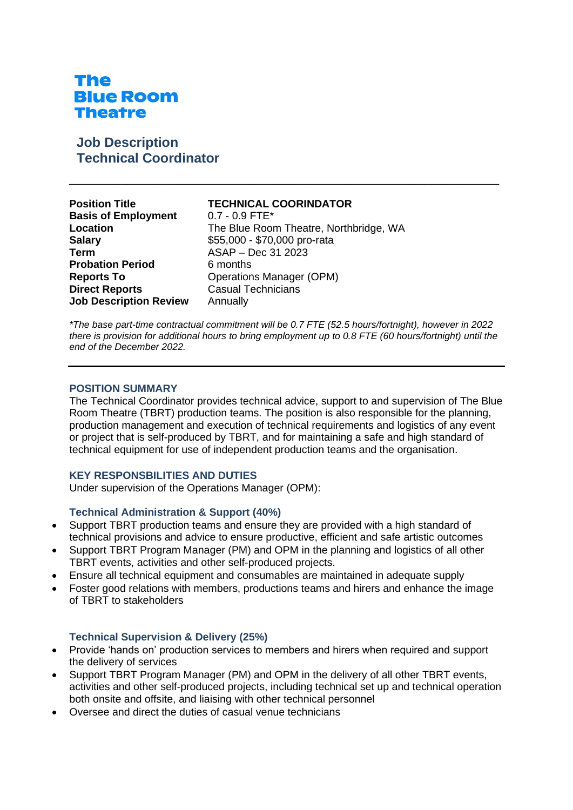# The **Blue Room Theatre**

## **Job Description Technical Coordinator**

| <b>TECHNICAL COORINDATOR</b><br>$0.7 - 0.9$ FTE*<br>The Blue Room Theatre, Northbridge, WA<br>\$55,000 - \$70,000 pro-rata<br>ASAP - Dec 31 2023<br>6 months<br><b>Operations Manager (OPM)</b> |
|-------------------------------------------------------------------------------------------------------------------------------------------------------------------------------------------------|
| <b>Casual Technicians</b><br>Annually                                                                                                                                                           |
|                                                                                                                                                                                                 |

*\*The base part-time contractual commitment will be 0.7 FTE (52.5 hours/fortnight), however in 2022 there is provision for additional hours to bring employment up to 0.8 FTE (60 hours/fortnight) until the end of the December 2022.* 

\_\_\_\_\_\_\_\_\_\_\_\_\_\_\_\_\_\_\_\_\_\_\_\_\_\_\_\_\_\_\_\_\_\_\_\_\_\_\_\_\_\_\_\_\_\_\_\_\_\_\_\_\_\_\_\_\_\_\_\_\_\_\_\_\_\_\_

### **POSITION SUMMARY**

The Technical Coordinator provides technical advice, support to and supervision of The Blue Room Theatre (TBRT) production teams. The position is also responsible for the planning, production management and execution of technical requirements and logistics of any event or project that is self-produced by TBRT, and for maintaining a safe and high standard of technical equipment for use of independent production teams and the organisation.

### **KEY RESPONSBILITIES AND DUTIES**

Under supervision of the Operations Manager (OPM):

### **Technical Administration & Support (40%)**

- Support TBRT production teams and ensure they are provided with a high standard of technical provisions and advice to ensure productive, efficient and safe artistic outcomes
- Support TBRT Program Manager (PM) and OPM in the planning and logistics of all other TBRT events, activities and other self-produced projects.
- Ensure all technical equipment and consumables are maintained in adequate supply
- Foster good relations with members, productions teams and hirers and enhance the image of TBRT to stakeholders

#### **Technical Supervision & Delivery (25%)**

- Provide 'hands on' production services to members and hirers when required and support the delivery of services
- Support TBRT Program Manager (PM) and OPM in the delivery of all other TBRT events, activities and other self-produced projects, including technical set up and technical operation both onsite and offsite, and liaising with other technical personnel
- Oversee and direct the duties of casual venue technicians